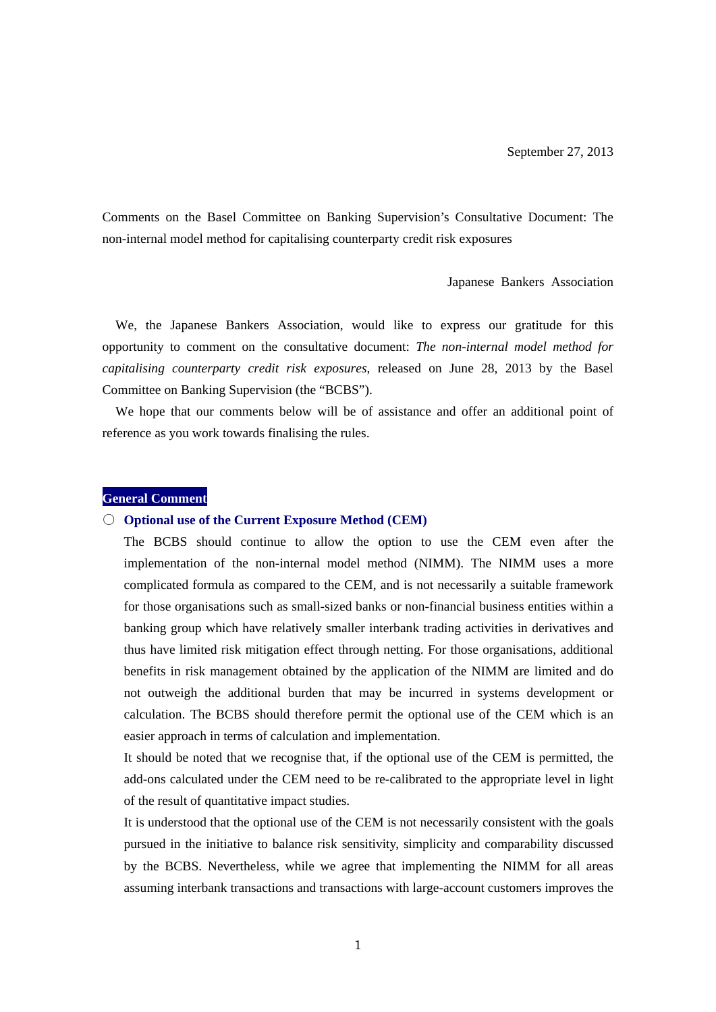Comments on the Basel Committee on Banking Supervision's Consultative Document: The non-internal model method for capitalising counterparty credit risk exposures

Japanese Bankers Association

We, the Japanese Bankers Association, would like to express our gratitude for this opportunity to comment on the consultative document: *The non-internal model method for capitalising counterparty credit risk exposures*, released on June 28, 2013 by the Basel Committee on Banking Supervision (the "BCBS").

We hope that our comments below will be of assistance and offer an additional point of reference as you work towards finalising the rules.

# **General Comment**

#### ○ **Optional use of the Current Exposure Method (CEM)**

The BCBS should continue to allow the option to use the CEM even after the implementation of the non-internal model method (NIMM). The NIMM uses a more complicated formula as compared to the CEM, and is not necessarily a suitable framework for those organisations such as small-sized banks or non-financial business entities within a banking group which have relatively smaller interbank trading activities in derivatives and thus have limited risk mitigation effect through netting. For those organisations, additional benefits in risk management obtained by the application of the NIMM are limited and do not outweigh the additional burden that may be incurred in systems development or calculation. The BCBS should therefore permit the optional use of the CEM which is an easier approach in terms of calculation and implementation.

It should be noted that we recognise that, if the optional use of the CEM is permitted, the add-ons calculated under the CEM need to be re-calibrated to the appropriate level in light of the result of quantitative impact studies.

It is understood that the optional use of the CEM is not necessarily consistent with the goals pursued in the initiative to balance risk sensitivity, simplicity and comparability discussed by the BCBS. Nevertheless, while we agree that implementing the NIMM for all areas assuming interbank transactions and transactions with large-account customers improves the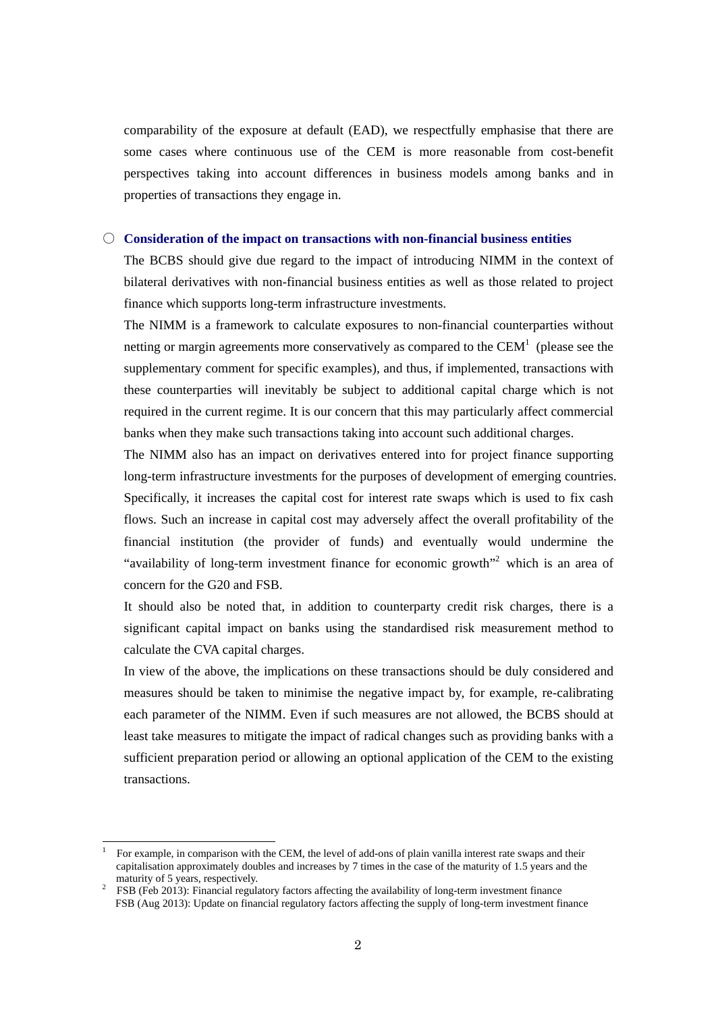comparability of the exposure at default (EAD), we respectfully emphasise that there are some cases where continuous use of the CEM is more reasonable from cost-benefit perspectives taking into account differences in business models among banks and in properties of transactions they engage in.

#### ○ **Consideration of the impact on transactions with non-financial business entities**

The BCBS should give due regard to the impact of introducing NIMM in the context of bilateral derivatives with non-financial business entities as well as those related to project finance which supports long-term infrastructure investments.

The NIMM is a framework to calculate exposures to non-financial counterparties without netting or margin agreements more conservatively as compared to the  $CEM<sup>1</sup>$  (please see the supplementary comment for specific examples), and thus, if implemented, transactions with these counterparties will inevitably be subject to additional capital charge which is not required in the current regime. It is our concern that this may particularly affect commercial banks when they make such transactions taking into account such additional charges.

The NIMM also has an impact on derivatives entered into for project finance supporting long-term infrastructure investments for the purposes of development of emerging countries. Specifically, it increases the capital cost for interest rate swaps which is used to fix cash flows. Such an increase in capital cost may adversely affect the overall profitability of the financial institution (the provider of funds) and eventually would undermine the "availability of long-term investment finance for economic growth"<sup>2</sup> which is an area of concern for the G20 and FSB.

It should also be noted that, in addition to counterparty credit risk charges, there is a significant capital impact on banks using the standardised risk measurement method to calculate the CVA capital charges.

In view of the above, the implications on these transactions should be duly considered and measures should be taken to minimise the negative impact by, for example, re-calibrating each parameter of the NIMM. Even if such measures are not allowed, the BCBS should at least take measures to mitigate the impact of radical changes such as providing banks with a sufficient preparation period or allowing an optional application of the CEM to the existing transactions.

 $\overline{a}$ 

<sup>1</sup> For example, in comparison with the CEM, the level of add-ons of plain vanilla interest rate swaps and their capitalisation approximately doubles and increases by 7 times in the case of the maturity of 1.5 years and the maturity of 5 years, respectively.

FSB (Feb 2013): Financial regulatory factors affecting the availability of long-term investment finance FSB (Aug 2013): Update on financial regulatory factors affecting the supply of long-term investment finance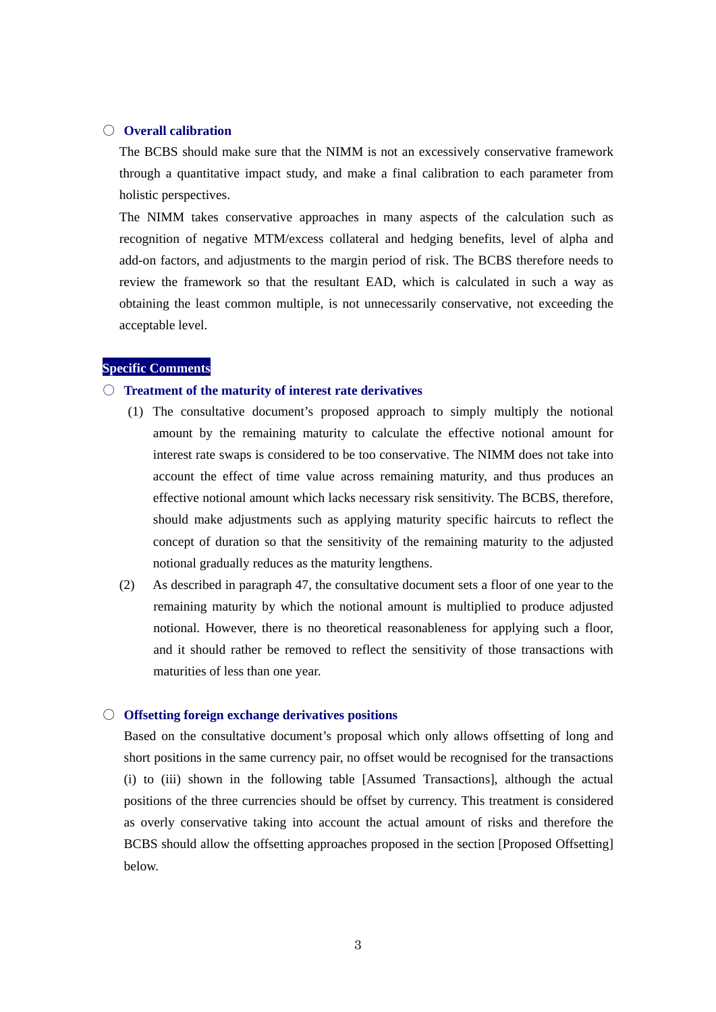#### ○ **Overall calibration**

The BCBS should make sure that the NIMM is not an excessively conservative framework through a quantitative impact study, and make a final calibration to each parameter from holistic perspectives.

The NIMM takes conservative approaches in many aspects of the calculation such as recognition of negative MTM/excess collateral and hedging benefits, level of alpha and add-on factors, and adjustments to the margin period of risk. The BCBS therefore needs to review the framework so that the resultant EAD, which is calculated in such a way as obtaining the least common multiple, is not unnecessarily conservative, not exceeding the acceptable level.

#### **Specific Comments**

# ○ **Treatment of the maturity of interest rate derivatives**

- (1) The consultative document's proposed approach to simply multiply the notional amount by the remaining maturity to calculate the effective notional amount for interest rate swaps is considered to be too conservative. The NIMM does not take into account the effect of time value across remaining maturity, and thus produces an effective notional amount which lacks necessary risk sensitivity. The BCBS, therefore, should make adjustments such as applying maturity specific haircuts to reflect the concept of duration so that the sensitivity of the remaining maturity to the adjusted notional gradually reduces as the maturity lengthens.
- (2) As described in paragraph 47, the consultative document sets a floor of one year to the remaining maturity by which the notional amount is multiplied to produce adjusted notional. However, there is no theoretical reasonableness for applying such a floor, and it should rather be removed to reflect the sensitivity of those transactions with maturities of less than one year.

#### ○ **Offsetting foreign exchange derivatives positions**

Based on the consultative document's proposal which only allows offsetting of long and short positions in the same currency pair, no offset would be recognised for the transactions (i) to (iii) shown in the following table [Assumed Transactions], although the actual positions of the three currencies should be offset by currency. This treatment is considered as overly conservative taking into account the actual amount of risks and therefore the BCBS should allow the offsetting approaches proposed in the section [Proposed Offsetting] below.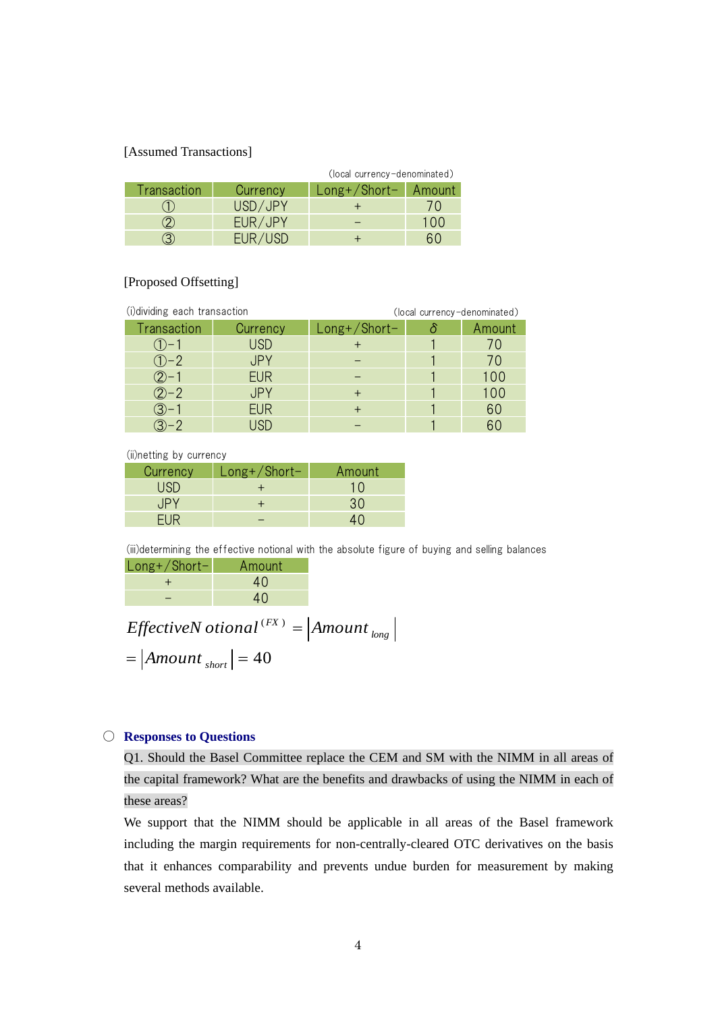### [Assumed Transactions]

|             |          | (local currency-denominated) |     |  |
|-------------|----------|------------------------------|-----|--|
| Transaction | Currency | Long+/Short-   Amount        |     |  |
|             | USD/JPY  |                              | (1) |  |
|             | EUR/JPY  |                              | 100 |  |
|             | EUR/USD  |                              |     |  |

# [Proposed Offsetting]

| (i)dividing each transaction |                 | (local currency-denominated) |  |             |  |
|------------------------------|-----------------|------------------------------|--|-------------|--|
| Transaction                  | <b>Currency</b> | $Long+ / Short-$             |  | Amount      |  |
|                              | <b>USD</b>      |                              |  |             |  |
| $(1) - 2$                    | <b>JPY</b>      |                              |  | $\prime$ () |  |
|                              | <b>EUR</b>      |                              |  | 100         |  |
| $(2) - 2$                    | JPY             |                              |  | 100         |  |
| $(3) - 1$                    | <b>EUR</b>      |                              |  | 60          |  |
|                              | ISD             |                              |  | 60          |  |

(ii)netting by currency

| Currency | $Long+ / Short-$ | Amount |
|----------|------------------|--------|
| USD      |                  | 1()    |
|          |                  | 30     |
|          |                  |        |
|          |                  |        |

(iii)determining the effective notional with the absolute figure of buying and selling balances

| $Long+/Short-$ | Amount |
|----------------|--------|
|                | 4()    |
|                | 40     |

 $=$   $\left|{}Amount\,_{short}\right|$   $=40$  $\binom{(FX)}{F}$  = Amount<sub>long</sub>  $E \text{ffective}$ *N*  $\sigma$ *tional*  $(FX) = \text{A}$ *Mount* 

# ○ **Responses to Questions**

Q1. Should the Basel Committee replace the CEM and SM with the NIMM in all areas of the capital framework? What are the benefits and drawbacks of using the NIMM in each of these areas?

We support that the NIMM should be applicable in all areas of the Basel framework including the margin requirements for non-centrally-cleared OTC derivatives on the basis that it enhances comparability and prevents undue burden for measurement by making several methods available.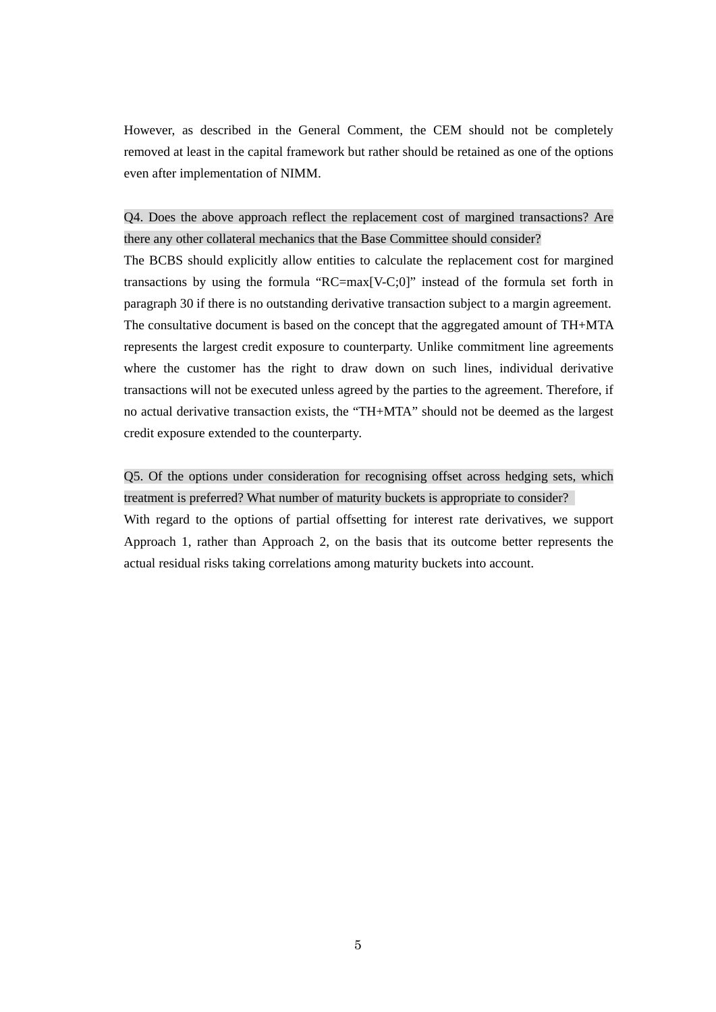However, as described in the General Comment, the CEM should not be completely removed at least in the capital framework but rather should be retained as one of the options even after implementation of NIMM.

# Q4. Does the above approach reflect the replacement cost of margined transactions? Are there any other collateral mechanics that the Base Committee should consider?

The BCBS should explicitly allow entities to calculate the replacement cost for margined transactions by using the formula "RC=max[V-C;0]" instead of the formula set forth in paragraph 30 if there is no outstanding derivative transaction subject to a margin agreement. The consultative document is based on the concept that the aggregated amount of TH+MTA represents the largest credit exposure to counterparty. Unlike commitment line agreements where the customer has the right to draw down on such lines, individual derivative transactions will not be executed unless agreed by the parties to the agreement. Therefore, if no actual derivative transaction exists, the "TH+MTA" should not be deemed as the largest credit exposure extended to the counterparty.

Q5. Of the options under consideration for recognising offset across hedging sets, which treatment is preferred? What number of maturity buckets is appropriate to consider? With regard to the options of partial offsetting for interest rate derivatives, we support Approach 1, rather than Approach 2, on the basis that its outcome better represents the actual residual risks taking correlations among maturity buckets into account.